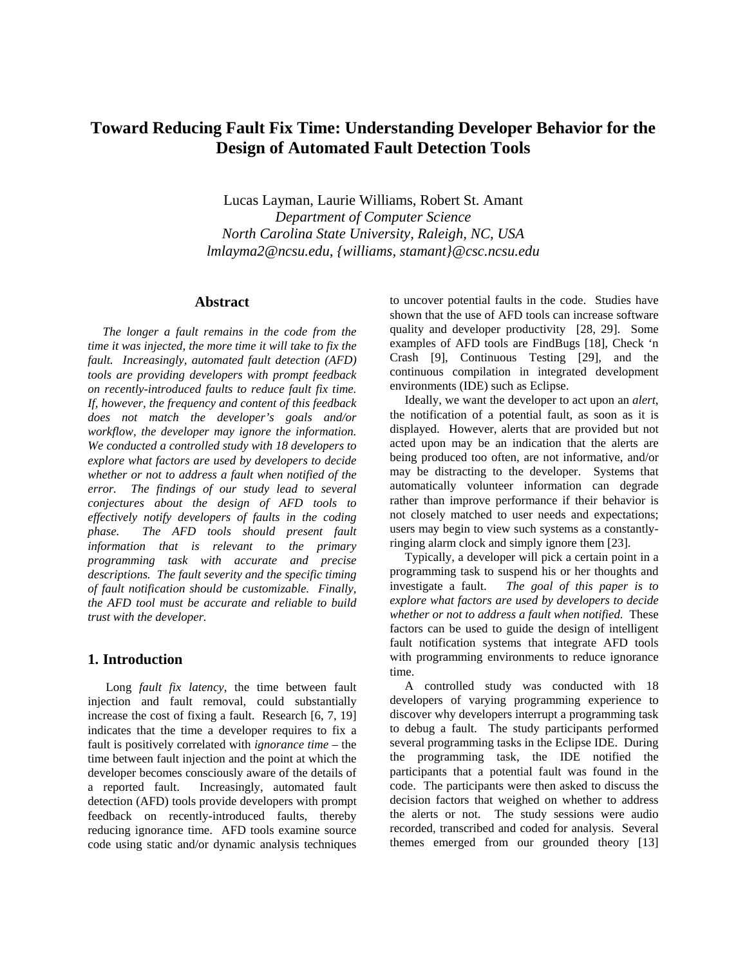# **Toward Reducing Fault Fix Time: Understanding Developer Behavior for the Design of Automated Fault Detection Tools**

Lucas Layman, Laurie Williams, Robert St. Amant *Department of Computer Science North Carolina State University, Raleigh, NC, USA lmlayma2@ncsu.edu, {williams, stamant}@csc.ncsu.edu* 

# **Abstract**

*The longer a fault remains in the code from the time it was injected, the more time it will take to fix the fault. Increasingly, automated fault detection (AFD) tools are providing developers with prompt feedback on recently-introduced faults to reduce fault fix time. If, however, the frequency and content of this feedback does not match the developer's goals and/or workflow, the developer may ignore the information. We conducted a controlled study with 18 developers to explore what factors are used by developers to decide whether or not to address a fault when notified of the error. The findings of our study lead to several conjectures about the design of AFD tools to effectively notify developers of faults in the coding phase. The AFD tools should present fault information that is relevant to the primary programming task with accurate and precise descriptions. The fault severity and the specific timing of fault notification should be customizable. Finally, the AFD tool must be accurate and reliable to build trust with the developer.* 

# **1. Introduction**

 Long *fault fix latency*, the time between fault injection and fault removal, could substantially increase the cost of fixing a fault. Research [6, 7, 19] indicates that the time a developer requires to fix a fault is positively correlated with *ignorance time* – the time between fault injection and the point at which the developer becomes consciously aware of the details of a reported fault. Increasingly, automated fault detection (AFD) tools provide developers with prompt feedback on recently-introduced faults, thereby reducing ignorance time. AFD tools examine source code using static and/or dynamic analysis techniques to uncover potential faults in the code. Studies have shown that the use of AFD tools can increase software quality and developer productivity [28, 29]. Some examples of AFD tools are FindBugs [18], Check 'n Crash [9], Continuous Testing [29], and the continuous compilation in integrated development environments (IDE) such as Eclipse.

Ideally, we want the developer to act upon an *alert*, the notification of a potential fault, as soon as it is displayed. However, alerts that are provided but not acted upon may be an indication that the alerts are being produced too often, are not informative, and/or may be distracting to the developer. Systems that automatically volunteer information can degrade rather than improve performance if their behavior is not closely matched to user needs and expectations; users may begin to view such systems as a constantlyringing alarm clock and simply ignore them [23].

Typically, a developer will pick a certain point in a programming task to suspend his or her thoughts and investigate a fault. *The goal of this paper is to explore what factors are used by developers to decide whether or not to address a fault when notified.* These factors can be used to guide the design of intelligent fault notification systems that integrate AFD tools with programming environments to reduce ignorance time.

A controlled study was conducted with 18 developers of varying programming experience to discover why developers interrupt a programming task to debug a fault. The study participants performed several programming tasks in the Eclipse IDE. During the programming task, the IDE notified the participants that a potential fault was found in the code. The participants were then asked to discuss the decision factors that weighed on whether to address the alerts or not. The study sessions were audio recorded, transcribed and coded for analysis. Several themes emerged from our grounded theory [13]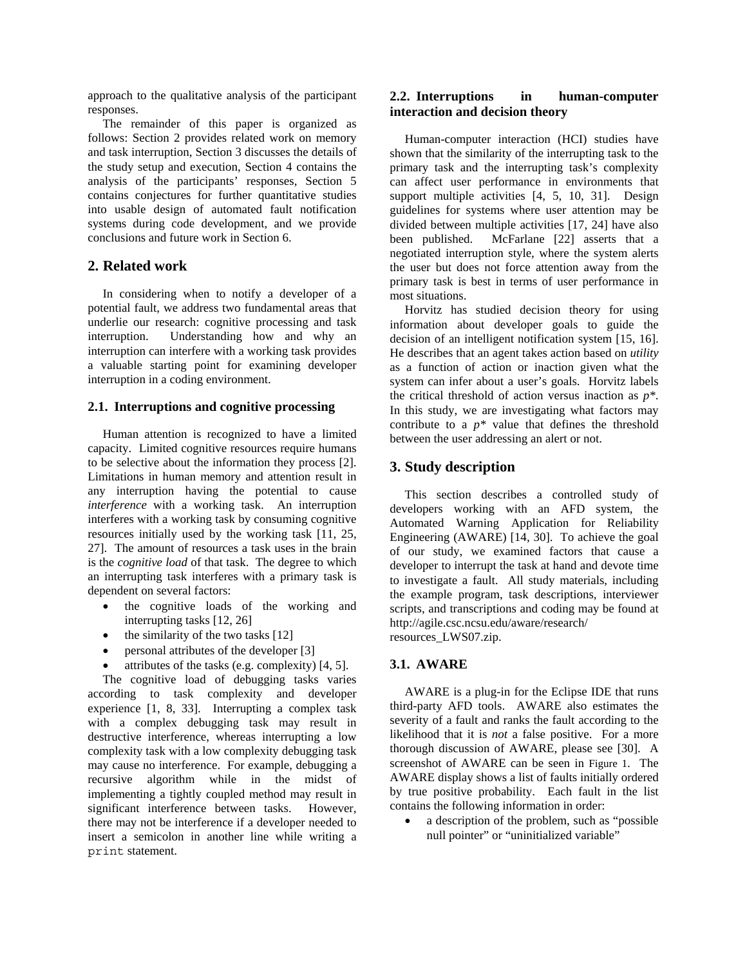approach to the qualitative analysis of the participant responses.

The remainder of this paper is organized as follows: Section 2 provides related work on memory and task interruption, Section 3 discusses the details of the study setup and execution, Section 4 contains the analysis of the participants' responses, Section 5 contains conjectures for further quantitative studies into usable design of automated fault notification systems during code development, and we provide conclusions and future work in Section 6.

# **2. Related work**

In considering when to notify a developer of a potential fault, we address two fundamental areas that underlie our research: cognitive processing and task interruption. Understanding how and why an interruption can interfere with a working task provides a valuable starting point for examining developer interruption in a coding environment.

# **2.1. Interruptions and cognitive processing**

Human attention is recognized to have a limited capacity. Limited cognitive resources require humans to be selective about the information they process [2]. Limitations in human memory and attention result in any interruption having the potential to cause *interference* with a working task. An interruption interferes with a working task by consuming cognitive resources initially used by the working task [11, 25, 27]. The amount of resources a task uses in the brain is the *cognitive load* of that task. The degree to which an interrupting task interferes with a primary task is dependent on several factors:

- the cognitive loads of the working and interrupting tasks [12, 26]
- the similarity of the two tasks  $[12]$
- personal attributes of the developer [3]
- attributes of the tasks (e.g. complexity)  $[4, 5]$ .

<span id="page-1-0"></span>The cognitive load of debugging tasks varies according to task complexity and developer experience [1, 8, 33]. Interrupting a complex task with a complex debugging task may result in destructive interference, whereas interrupting a low complexity task with a low complexity debugging task may cause no interference. For example, debugging a recursive algorithm while in the midst of implementing a tightly coupled method may result in significant interference between tasks. However, there may not be interference if a developer needed to insert a semicolon in another line while writing a print statement.

# **2.2. Interruptions in human-computer interaction and decision theory**

Human-computer interaction (HCI) studies have shown that the similarity of the interrupting task to the primary task and the interrupting task's complexity can affect user performance in environments that support multiple activities [4, 5, 10, 31]. Design guidelines for systems where user attention may be divided between multiple activities [17, 24] have also been published. McFarlane [22] asserts that a negotiated interruption style, where the system alerts the user but does not force attention away from the primary task is best in terms of user performance in most situations.

Horvitz has studied decision theory for using information about developer goals to guide the decision of an intelligent notification system [15, 16]. He describes that an agent takes action based on *utility* as a function of action or inaction given what the system can infer about a user's goals. Horvitz labels the critical threshold of action versus inaction as *p\**. In this study, we are investigating what factors may contribute to a  $p^*$  value that defines the threshold between the user addressing an alert or not.

# **3. Study description**

This section describes a controlled study of developers working with an AFD system, the Automated Warning Application for Reliability Engineering (AWARE) [14, 30]. To achieve the goal of our study, we examined factors that cause a developer to interrupt the task at hand and devote time to investigate a fault. All study materials, including the example program, task descriptions, interviewer scripts, and transcriptions and coding may be found at http://agile.csc.ncsu.edu/aware/research/ resources\_LWS07.zip.

# **3.1. AWARE**

AWARE is a plug-in for the Eclipse IDE that runs third-party AFD tools. AWARE also estimates the severity of a fault and ranks the fault according to the likelihood that it is *not* a false positive. For a more thorough discussion of AWARE, please see [30]. A screenshot of AWARE can be seen in [Figure 1](#page-2-0). The AWARE display shows a list of faults initially ordered by true positive probability. Each fault in the list contains the following information in order:

a description of the problem, such as "possible" null pointer" or "uninitialized variable"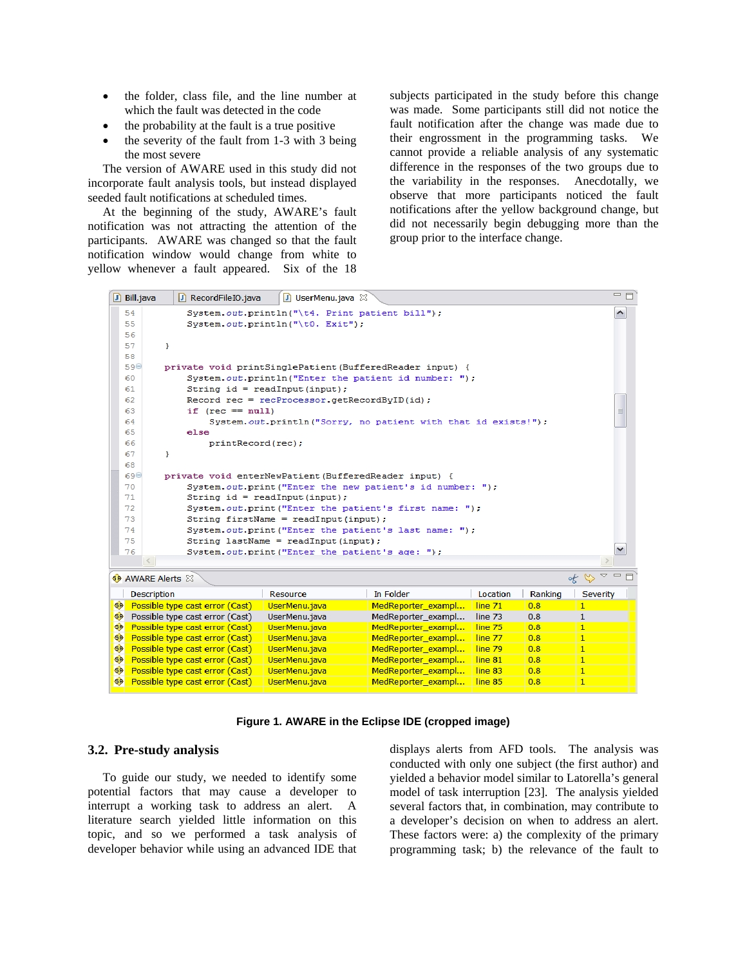- the folder, class file, and the line number at which the fault was detected in the code
- the probability at the fault is a true positive
- the severity of the fault from 1-3 with 3 being the most severe

The version of AWARE used in this study did not incorporate fault analysis tools, but instead displayed seeded fault notifications at scheduled times.

At the beginning of the study, AWARE's fault notification was not attracting the attention of the participants. AWARE was changed so that the fault notification window would change from white to yellow whenever a fault appeared. Six of the 18

subjects participated in the study before this change was made. Some participants still did not notice the fault notification after the change was made due to their engrossment in the programming tasks. We cannot provide a reliable analysis of any systematic difference in the responses of the two groups due to the variability in the responses. Anecdotally, we observe that more participants noticed the fault notifications after the yellow background change, but did not necessarily begin debugging more than the group prior to the interface change.

| D).                                                              | Bill.java                                                                                    | J RecordFileIO.java                                           | D UserMenu.java ※                              |                                                          |          |         |                                         | 一日 |
|------------------------------------------------------------------|----------------------------------------------------------------------------------------------|---------------------------------------------------------------|------------------------------------------------|----------------------------------------------------------|----------|---------|-----------------------------------------|----|
| 54                                                               |                                                                                              | System.out.println("\t4. Print patient bill");<br>۸           |                                                |                                                          |          |         |                                         |    |
| 55                                                               |                                                                                              | System.out.println("\t0. Exit");                              |                                                |                                                          |          |         |                                         |    |
| 56                                                               |                                                                                              |                                                               |                                                |                                                          |          |         |                                         |    |
| 57                                                               | $\mathbf{r}$                                                                                 |                                                               |                                                |                                                          |          |         |                                         |    |
| 58                                                               |                                                                                              |                                                               |                                                |                                                          |          |         |                                         |    |
|                                                                  | 590                                                                                          |                                                               |                                                | private void printSinglePatient (BufferedReader input) { |          |         |                                         |    |
| 60                                                               |                                                                                              |                                                               |                                                | System.out.println("Enter the patient id number: ");     |          |         |                                         |    |
| 61                                                               |                                                                                              |                                                               | String $id = readInput(input));$               |                                                          |          |         |                                         |    |
| 62                                                               |                                                                                              |                                                               | Record rec = $recProcessor.getRecordByID(id);$ |                                                          |          |         |                                         |    |
| 63                                                               |                                                                                              | if $(\text{rec} == \text{null})$<br>1                         |                                                |                                                          |          |         |                                         |    |
| 64                                                               |                                                                                              | System.out.println("Sorry, no patient with that id exists!"); |                                                |                                                          |          |         |                                         |    |
| 65                                                               |                                                                                              | else                                                          |                                                |                                                          |          |         |                                         |    |
| 66                                                               |                                                                                              | printRecord(rec);                                             |                                                |                                                          |          |         |                                         |    |
| 67                                                               |                                                                                              | $\mathbf{r}$                                                  |                                                |                                                          |          |         |                                         |    |
|                                                                  | 68                                                                                           |                                                               |                                                |                                                          |          |         |                                         |    |
|                                                                  | 690<br>private void enterNewPatient (BufferedReader input) {<br>70                           |                                                               |                                                |                                                          |          |         |                                         |    |
|                                                                  | System.out.print("Enter the new patient's id number: ");<br>String $id = readInput(input));$ |                                                               |                                                |                                                          |          |         |                                         |    |
|                                                                  | 71<br>System.out.print("Enter the patient's first name: ");<br>72                            |                                                               |                                                |                                                          |          |         |                                         |    |
|                                                                  | String firstName = readInput(input);                                                         |                                                               |                                                |                                                          |          |         |                                         |    |
|                                                                  | System.out.print("Enter the patient's last name: ");                                         |                                                               |                                                |                                                          |          |         |                                         |    |
|                                                                  | 73<br>String lastName = readInput(input);                                                    |                                                               |                                                |                                                          |          |         |                                         |    |
| 74<br>75<br>76<br>System.out.print("Enter the patient's age: "); |                                                                                              |                                                               |                                                |                                                          |          |         |                                         |    |
|                                                                  |                                                                                              |                                                               |                                                |                                                          |          |         |                                         |    |
|                                                                  | <b>69 AWARE Alerts 23</b>                                                                    |                                                               |                                                |                                                          |          |         | of $\heartsuit$<br>$\blacktriangledown$ |    |
|                                                                  | Description                                                                                  |                                                               | Resource                                       | In Folder                                                | Location | Ranking | Severity                                |    |
| <b>GP</b>                                                        |                                                                                              | Possible type cast error (Cast)                               | UserMenu.java                                  | MedReporter_exampl                                       | line 71  | 0.8     | $\mathbf{1}$                            |    |
| G₿.                                                              |                                                                                              | Possible type cast error (Cast)                               | UserMenu.java                                  | MedReporter_exampl                                       | line 73  | 0.8     | $\mathbf{1}$                            |    |
| <b>GP</b>                                                        |                                                                                              | Possible type cast error (Cast)                               | UserMenu.java                                  | MedReporter exampl                                       | line 75  | 0.8     | $\mathbf{1}$                            |    |
| <b>GP</b>                                                        |                                                                                              | Possible type cast error (Cast)                               | UserMenu.java                                  | MedReporter_exampl                                       | line 77  | 0.8     | $\mathbf{1}$                            |    |
| <b>GP</b>                                                        |                                                                                              | Possible type cast error (Cast)                               | UserMenu.java                                  | MedReporter_exampl                                       | line 79  | 0.8     | 1                                       |    |
| <b>GP</b>                                                        |                                                                                              | Possible type cast error (Cast)                               | UserMenu.java                                  | MedReporter exampl                                       | line 81  | 0.8     | $\mathbf{1}$                            |    |
|                                                                  |                                                                                              | <b>ED</b> Possible type cast error (Cast)                     | UserMenu.java                                  | MedReporter_exampl                                       | line 83  | 0.8     | $\mathbf{1}$                            |    |
|                                                                  |                                                                                              | <b>ED</b> Possible type cast error (Cast)                     | UserMenu.java                                  | MedReporter_exampl                                       | line 85  | 0.8     | $\mathbf{1}$                            |    |

**Figure 1. AWARE in the Eclipse IDE (cropped image)** 

# <span id="page-2-1"></span><span id="page-2-0"></span>**3.2. Pre-study analysis**

To guide our study, we needed to identify some potential factors that may cause a developer to interrupt a working task to address an alert. A literature search yielded little information on this topic, and so we performed a task analysis of developer behavior while using an advanced IDE that

displays alerts from AFD tools. The analysis was conducted with only one subject (the first author) and yielded a behavior model similar to Latorella's general model of task interruption [23]. The analysis yielded several factors that, in combination, may contribute to a developer's decision on when to address an alert. These factors were: a) the complexity of the primary programming task; b) the relevance of the fault to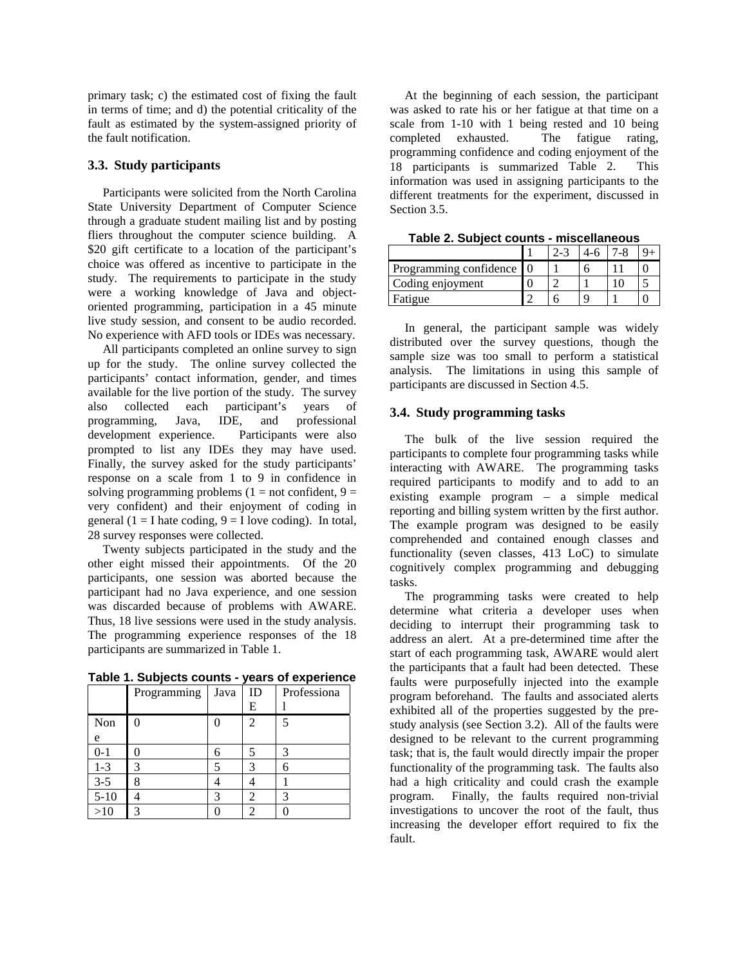primary task; c) the estimated cost of fixing the fault in terms of time; and d) the potential criticality of the fault as estimated by the system-assigned priority of the fault notification.

#### **3.3. Study participants**

<span id="page-3-1"></span>Participants were solicited from the North Carolina State University Department of Computer Science through a graduate student mailing list and by posting fliers throughout the computer science building. A \$20 gift certificate to a location of the participant's choice was offered as incentive to participate in the study. The requirements to participate in the study were a working knowledge of Java and objectoriented programming, participation in a 45 minute live study session, and consent to be audio recorded. No experience with AFD tools or IDEs was necessary.

<span id="page-3-2"></span>All participants completed an online survey to sign up for the study. The online survey collected the participants' contact information, gender, and times available for the live portion of the study. The survey also collected each participant's years of programming, Java, IDE, and professional development experience. Participants were also prompted to list any IDEs they may have used. Finally, the survey asked for the study participants' response on a scale from 1 to 9 in confidence in solving programming problems  $(1 = not confident, 9 =$ very confident) and their enjoyment of coding in general (1 = I hate coding,  $9 = I$  love coding). In total, 28 survey responses were collected.

Twenty subjects participated in the study and the other eight missed their appointments. Of the 20 participants, one session was aborted because the participant had no Java experience, and one session was discarded because of problems with AWARE. Thus, 18 live sessions were used in the study analysis. The programming experience responses of the 18 participants are summarized in [Table 1](#page-3-0).

|  |  |  |  | Table 1. Subjects counts - years of experience |
|--|--|--|--|------------------------------------------------|
|--|--|--|--|------------------------------------------------|

<span id="page-3-0"></span>

|          | Programming | Java | ID<br>E | Professiona |
|----------|-------------|------|---------|-------------|
| Non      | 0           |      | 2       | 5           |
| e        |             |      |         |             |
| $0 - 1$  |             |      |         | 3           |
| $1 - 3$  | 3           |      | Р       | 6           |
| $3 - 5$  | 8           |      |         |             |
| $5 - 10$ |             |      |         | 3           |
| >10      | 2           |      |         |             |

At the beginning of each session, the participant was asked to rate his or her fatigue at that time on a scale from 1-10 with 1 being rested and 10 being completed exhausted. The fatigue rating, programming confidence and coding enjoyment of the 18 participants is summarized [Table 2.](#page-3-1) This information was used in assigning participants to the different treatments for the experiment, discussed in Section [3.5.](#page-4-0)

**Table 2. Subject counts - miscellaneous** 

|                        | $2 - 3$ | ס ד |  |
|------------------------|---------|-----|--|
| Programming confidence |         |     |  |
| Coding enjoyment       |         |     |  |
| Fatigue                |         |     |  |

In general, the participant sample was widely distributed over the survey questions, though the sample size was too small to perform a statistical analysis. The limitations in using this sample of participants are discussed in Section [4.5](#page-7-0).

# **3.4. Study programming tasks**

The bulk of the live session required the participants to complete four programming tasks while interacting with AWARE. The programming tasks required participants to modify and to add to an existing example program – a simple medical reporting and billing system written by the first author. The example program was designed to be easily comprehended and contained enough classes and functionality (seven classes, 413 LoC) to simulate cognitively complex programming and debugging tasks.

The programming tasks were created to help determine what criteria a developer uses when deciding to interrupt their programming task to address an alert. At a pre-determined time after the start of each programming task, AWARE would alert the participants that a fault had been detected. These faults were purposefully injected into the example program beforehand. The faults and associated alerts exhibited all of the properties suggested by the prestudy analysis (see Section [3.2](#page-2-1)). All of the faults were designed to be relevant to the current programming task; that is, the fault would directly impair the proper functionality of the programming task. The faults also had a high criticality and could crash the example program. Finally, the faults required non-trivial investigations to uncover the root of the fault, thus increasing the developer effort required to fix the fault.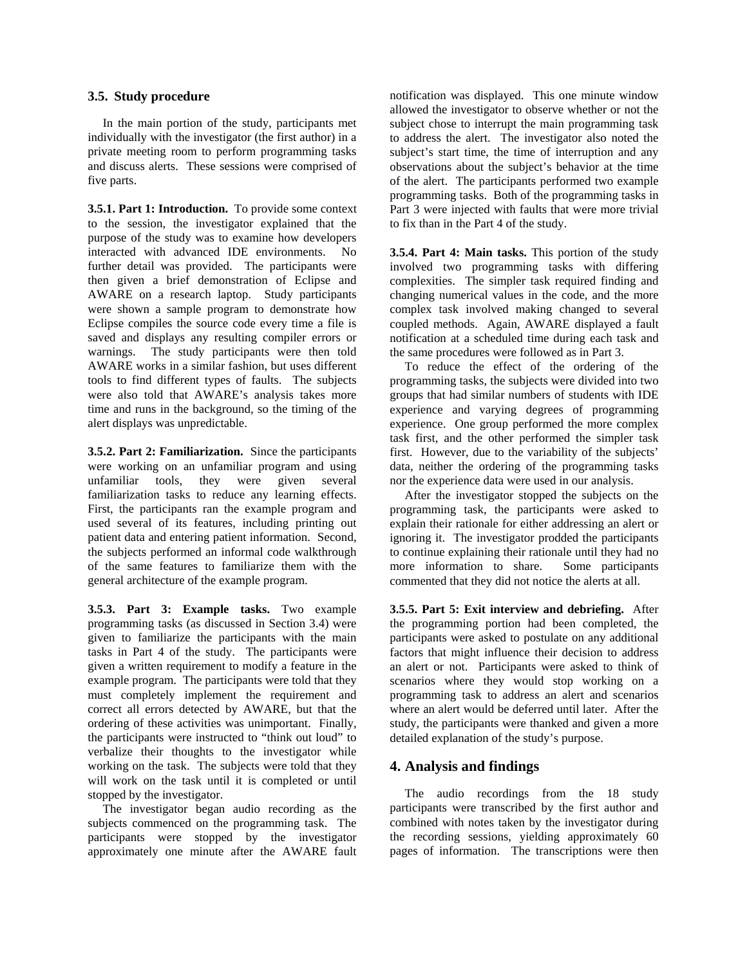# <span id="page-4-0"></span>**3.5. Study procedure**

In the main portion of the study, participants met individually with the investigator (the first author) in a private meeting room to perform programming tasks and discuss alerts. These sessions were comprised of five parts.

**3.5.1. Part 1: Introduction.** To provide some context to the session, the investigator explained that the purpose of the study was to examine how developers interacted with advanced IDE environments. No further detail was provided.The participants were then given a brief demonstration of Eclipse and AWARE on a research laptop. Study participants were shown a sample program to demonstrate how Eclipse compiles the source code every time a file is saved and displays any resulting compiler errors or warnings. The study participants were then told AWARE works in a similar fashion, but uses different tools to find different types of faults. The subjects were also told that AWARE's analysis takes more time and runs in the background, so the timing of the alert displays was unpredictable.

**3.5.2. Part 2: Familiarization.** Since the participants were working on an unfamiliar program and using unfamiliar tools, they were given several familiarization tasks to reduce any learning effects. First, the participants ran the example program and used several of its features, including printing out patient data and entering patient information. Second, the subjects performed an informal code walkthrough of the same features to familiarize them with the general architecture of the example program.

**3.5.3. Part 3: Example tasks.** Two example programming tasks (as discussed in Section [3.4](#page-3-2)) were given to familiarize the participants with the main tasks in Part 4 of the study. The participants were given a written requirement to modify a feature in the example program. The participants were told that they must completely implement the requirement and correct all errors detected by AWARE, but that the ordering of these activities was unimportant. Finally, the participants were instructed to "think out loud" to verbalize their thoughts to the investigator while working on the task. The subjects were told that they will work on the task until it is completed or until stopped by the investigator.

<span id="page-4-1"></span>The investigator began audio recording as the subjects commenced on the programming task. The participants were stopped by the investigator approximately one minute after the AWARE fault notification was displayed. This one minute window allowed the investigator to observe whether or not the subject chose to interrupt the main programming task to address the alert. The investigator also noted the subject's start time, the time of interruption and any observations about the subject's behavior at the time of the alert. The participants performed two example programming tasks. Both of the programming tasks in Part 3 were injected with faults that were more trivial to fix than in the Part 4 of the study.

**3.5.4. Part 4: Main tasks.** This portion of the study involved two programming tasks with differing complexities. The simpler task required finding and changing numerical values in the code, and the more complex task involved making changed to several coupled methods. Again, AWARE displayed a fault notification at a scheduled time during each task and the same procedures were followed as in Part 3.

To reduce the effect of the ordering of the programming tasks, the subjects were divided into two groups that had similar numbers of students with IDE experience and varying degrees of programming experience. One group performed the more complex task first, and the other performed the simpler task first. However, due to the variability of the subjects' data, neither the ordering of the programming tasks nor the experience data were used in our analysis.

After the investigator stopped the subjects on the programming task, the participants were asked to explain their rationale for either addressing an alert or ignoring it. The investigator prodded the participants to continue explaining their rationale until they had no more information to share. Some participants commented that they did not notice the alerts at all.

**3.5.5. Part 5: Exit interview and debriefing.** After the programming portion had been completed, the participants were asked to postulate on any additional factors that might influence their decision to address an alert or not. Participants were asked to think of scenarios where they would stop working on a programming task to address an alert and scenarios where an alert would be deferred until later. After the study, the participants were thanked and given a more detailed explanation of the study's purpose.

# **4. Analysis and findings**

The audio recordings from the 18 study participants were transcribed by the first author and combined with notes taken by the investigator during the recording sessions, yielding approximately 60 pages of information. The transcriptions were then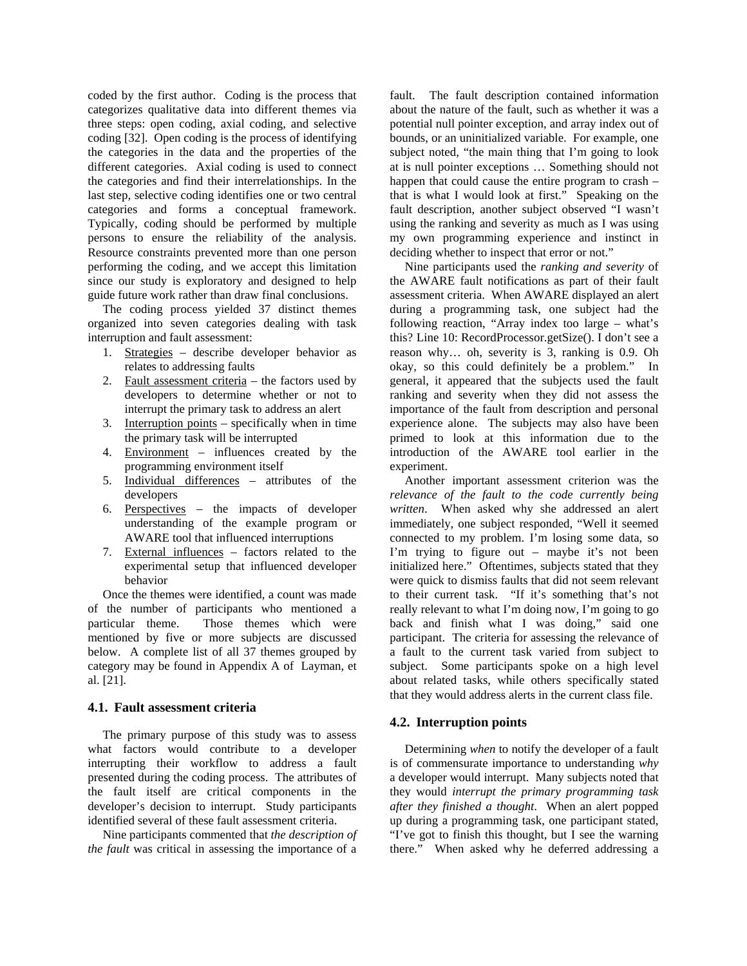coded by the first author. Coding is the process that categorizes qualitative data into different themes via three steps: open coding, axial coding, and selective coding [32]. Open coding is the process of identifying the categories in the data and the properties of the different categories. Axial coding is used to connect the categories and find their interrelationships. In the last step, selective coding identifies one or two central categories and forms a conceptual framework. Typically, coding should be performed by multiple persons to ensure the reliability of the analysis. Resource constraints prevented more than one person performing the coding, and we accept this limitation since our study is exploratory and designed to help guide future work rather than draw final conclusions.

The coding process yielded 37 distinct themes organized into seven categories dealing with task interruption and fault assessment:

- 1. Strategies describe developer behavior as relates to addressing faults
- 2. Fault assessment criteria the factors used by developers to determine whether or not to interrupt the primary task to address an alert
- 3. Interruption points specifically when in time the primary task will be interrupted
- 4. Environment influences created by the programming environment itself
- 5. Individual differences attributes of the developers
- 6. Perspectives the impacts of developer understanding of the example program or AWARE tool that influenced interruptions
- 7. External influences factors related to the experimental setup that influenced developer behavior

Once the themes were identified, a count was made of the number of participants who mentioned a particular theme. Those themes which were mentioned by five or more subjects are discussed below. A complete list of all 37 themes grouped by category may be found in Appendix A of Layman, et al. [21].

### **4.1. Fault assessment criteria**

The primary purpose of this study was to assess what factors would contribute to a developer interrupting their workflow to address a fault presented during the coding process. The attributes of the fault itself are critical components in the developer's decision to interrupt. Study participants identified several of these fault assessment criteria.

Nine participants commented that *the description of the fault* was critical in assessing the importance of a

fault. The fault description contained information about the nature of the fault, such as whether it was a potential null pointer exception, and array index out of bounds, or an uninitialized variable. For example, one subject noted, "the main thing that I'm going to look at is null pointer exceptions … Something should not happen that could cause the entire program to crash – that is what I would look at first." Speaking on the fault description, another subject observed "I wasn't using the ranking and severity as much as I was using my own programming experience and instinct in deciding whether to inspect that error or not."

Nine participants used the *ranking and severity* of the AWARE fault notifications as part of their fault assessment criteria. When AWARE displayed an alert during a programming task, one subject had the following reaction, "Array index too large – what's this? Line 10: RecordProcessor.getSize(). I don't see a reason why… oh, severity is 3, ranking is 0.9. Oh okay, so this could definitely be a problem." In general, it appeared that the subjects used the fault ranking and severity when they did not assess the importance of the fault from description and personal experience alone. The subjects may also have been primed to look at this information due to the introduction of the AWARE tool earlier in the experiment.

Another important assessment criterion was the *relevance of the fault to the code currently being written*. When asked why she addressed an alert immediately, one subject responded, "Well it seemed connected to my problem. I'm losing some data, so I'm trying to figure out – maybe it's not been initialized here." Oftentimes, subjects stated that they were quick to dismiss faults that did not seem relevant to their current task. "If it's something that's not really relevant to what I'm doing now, I'm going to go back and finish what I was doing," said one participant. The criteria for assessing the relevance of a fault to the current task varied from subject to subject. Some participants spoke on a high level about related tasks, while others specifically stated that they would address alerts in the current class file.

#### **4.2. Interruption points**

Determining *when* to notify the developer of a fault is of commensurate importance to understanding *why* a developer would interrupt. Many subjects noted that they would *interrupt the primary programming task after they finished a thought*. When an alert popped up during a programming task, one participant stated, "I've got to finish this thought, but I see the warning there." When asked why he deferred addressing a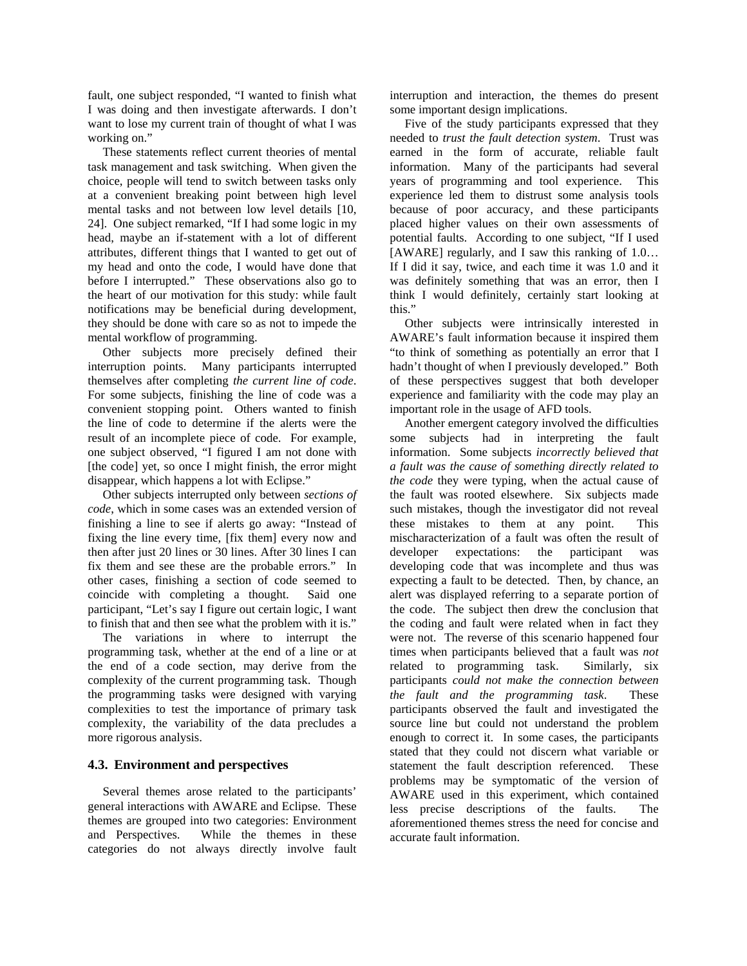fault, one subject responded, "I wanted to finish what I was doing and then investigate afterwards. I don't want to lose my current train of thought of what I was working on."

These statements reflect current theories of mental task management and task switching. When given the choice, people will tend to switch between tasks only at a convenient breaking point between high level mental tasks and not between low level details [10, 24]. One subject remarked, "If I had some logic in my head, maybe an if-statement with a lot of different attributes, different things that I wanted to get out of my head and onto the code, I would have done that before I interrupted." These observations also go to the heart of our motivation for this study: while fault notifications may be beneficial during development, they should be done with care so as not to impede the mental workflow of programming.

Other subjects more precisely defined their interruption points. Many participants interrupted themselves after completing *the current line of code*. For some subjects, finishing the line of code was a convenient stopping point. Others wanted to finish the line of code to determine if the alerts were the result of an incomplete piece of code. For example, one subject observed, "I figured I am not done with [the code] yet, so once I might finish, the error might disappear, which happens a lot with Eclipse."

Other subjects interrupted only between *sections of code*, which in some cases was an extended version of finishing a line to see if alerts go away: "Instead of fixing the line every time, [fix them] every now and then after just 20 lines or 30 lines. After 30 lines I can fix them and see these are the probable errors." In other cases, finishing a section of code seemed to coincide with completing a thought. Said one participant, "Let's say I figure out certain logic, I want to finish that and then see what the problem with it is."

The variations in where to interrupt the programming task, whether at the end of a line or at the end of a code section, may derive from the complexity of the current programming task. Though the programming tasks were designed with varying complexities to test the importance of primary task complexity, the variability of the data precludes a more rigorous analysis.

### **4.3. Environment and perspectives**

Several themes arose related to the participants' general interactions with AWARE and Eclipse. These themes are grouped into two categories: Environment and Perspectives. While the themes in these categories do not always directly involve fault interruption and interaction, the themes do present some important design implications.

Five of the study participants expressed that they needed to *trust the fault detection system*. Trust was earned in the form of accurate, reliable fault information. Many of the participants had several years of programming and tool experience. This experience led them to distrust some analysis tools because of poor accuracy, and these participants placed higher values on their own assessments of potential faults. According to one subject, "If I used [AWARE] regularly, and I saw this ranking of 1.0... If I did it say, twice, and each time it was 1.0 and it was definitely something that was an error, then I think I would definitely, certainly start looking at this."

Other subjects were intrinsically interested in AWARE's fault information because it inspired them "to think of something as potentially an error that I hadn't thought of when I previously developed." Both of these perspectives suggest that both developer experience and familiarity with the code may play an important role in the usage of AFD tools.

Another emergent category involved the difficulties some subjects had in interpreting the fault information. Some subjects *incorrectly believed that a fault was the cause of something directly related to the code* they were typing, when the actual cause of the fault was rooted elsewhere. Six subjects made such mistakes, though the investigator did not reveal these mistakes to them at any point. This mischaracterization of a fault was often the result of developer expectations: the participant was developing code that was incomplete and thus was expecting a fault to be detected. Then, by chance, an alert was displayed referring to a separate portion of the code. The subject then drew the conclusion that the coding and fault were related when in fact they were not. The reverse of this scenario happened four times when participants believed that a fault was *not* related to programming task. Similarly, six participants *could not make the connection between the fault and the programming task*. These participants observed the fault and investigated the source line but could not understand the problem enough to correct it. In some cases, the participants stated that they could not discern what variable or statement the fault description referenced. These problems may be symptomatic of the version of AWARE used in this experiment, which contained less precise descriptions of the faults. The aforementioned themes stress the need for concise and accurate fault information.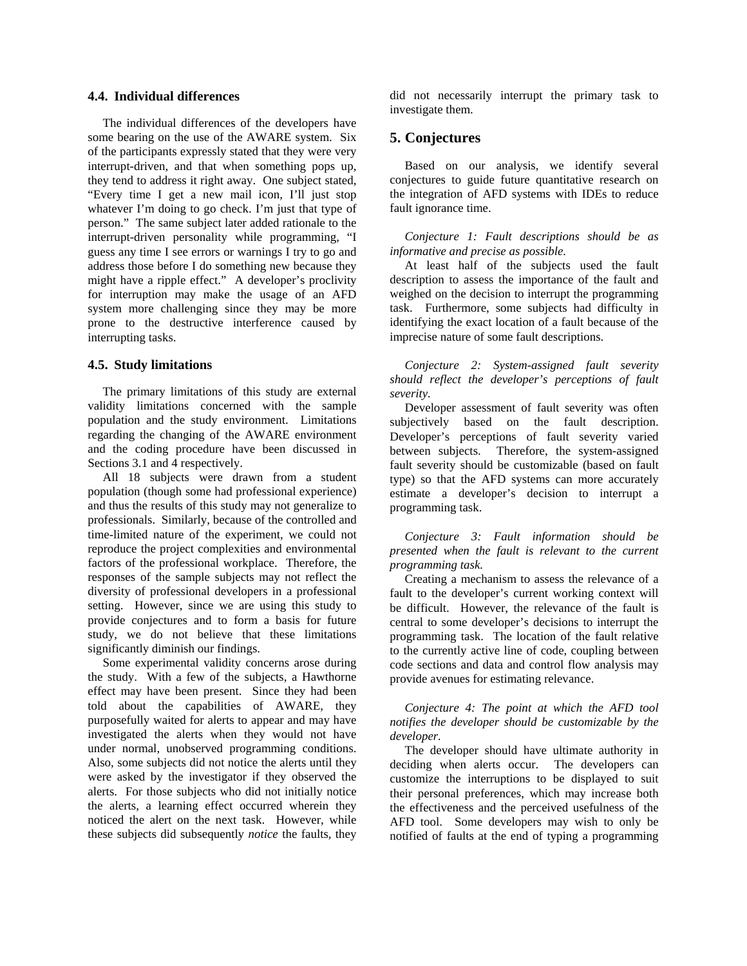### **4.4. Individual differences**

The individual differences of the developers have some bearing on the use of the AWARE system. Six of the participants expressly stated that they were very interrupt-driven, and that when something pops up, they tend to address it right away. One subject stated, "Every time I get a new mail icon, I'll just stop whatever I'm doing to go check. I'm just that type of person." The same subject later added rationale to the interrupt-driven personality while programming, "I guess any time I see errors or warnings I try to go and address those before I do something new because they might have a ripple effect." A developer's proclivity for interruption may make the usage of an AFD system more challenging since they may be more prone to the destructive interference caused by interrupting tasks.

### <span id="page-7-0"></span>**4.5. Study limitations**

The primary limitations of this study are external validity limitations concerned with the sample population and the study environment. Limitations regarding the changing of the AWARE environment and the coding procedure have been discussed in Sections [3.1](#page-1-0) and [4](#page-4-1) respectively.

All 18 subjects were drawn from a student population (though some had professional experience) and thus the results of this study may not generalize to professionals. Similarly, because of the controlled and time-limited nature of the experiment, we could not reproduce the project complexities and environmental factors of the professional workplace. Therefore, the responses of the sample subjects may not reflect the diversity of professional developers in a professional setting. However, since we are using this study to provide conjectures and to form a basis for future study, we do not believe that these limitations significantly diminish our findings.

Some experimental validity concerns arose during the study. With a few of the subjects, a Hawthorne effect may have been present. Since they had been told about the capabilities of AWARE, they purposefully waited for alerts to appear and may have investigated the alerts when they would not have under normal, unobserved programming conditions. Also, some subjects did not notice the alerts until they were asked by the investigator if they observed the alerts. For those subjects who did not initially notice the alerts, a learning effect occurred wherein they noticed the alert on the next task. However, while these subjects did subsequently *notice* the faults, they

did not necessarily interrupt the primary task to investigate them.

# **5. Conjectures**

Based on our analysis, we identify several conjectures to guide future quantitative research on the integration of AFD systems with IDEs to reduce fault ignorance time.

*Conjecture 1: Fault descriptions should be as informative and precise as possible.* 

At least half of the subjects used the fault description to assess the importance of the fault and weighed on the decision to interrupt the programming task. Furthermore, some subjects had difficulty in identifying the exact location of a fault because of the imprecise nature of some fault descriptions.

*Conjecture 2: System-assigned fault severity should reflect the developer's perceptions of fault severity.*

Developer assessment of fault severity was often subjectively based on the fault description. Developer's perceptions of fault severity varied between subjects. Therefore, the system-assigned fault severity should be customizable (based on fault type) so that the AFD systems can more accurately estimate a developer's decision to interrupt a programming task.

*Conjecture 3: Fault information should be presented when the fault is relevant to the current programming task.*

Creating a mechanism to assess the relevance of a fault to the developer's current working context will be difficult. However, the relevance of the fault is central to some developer's decisions to interrupt the programming task. The location of the fault relative to the currently active line of code, coupling between code sections and data and control flow analysis may provide avenues for estimating relevance.

*Conjecture 4: The point at which the AFD tool notifies the developer should be customizable by the developer.* 

The developer should have ultimate authority in deciding when alerts occur. The developers can customize the interruptions to be displayed to suit their personal preferences, which may increase both the effectiveness and the perceived usefulness of the AFD tool. Some developers may wish to only be notified of faults at the end of typing a programming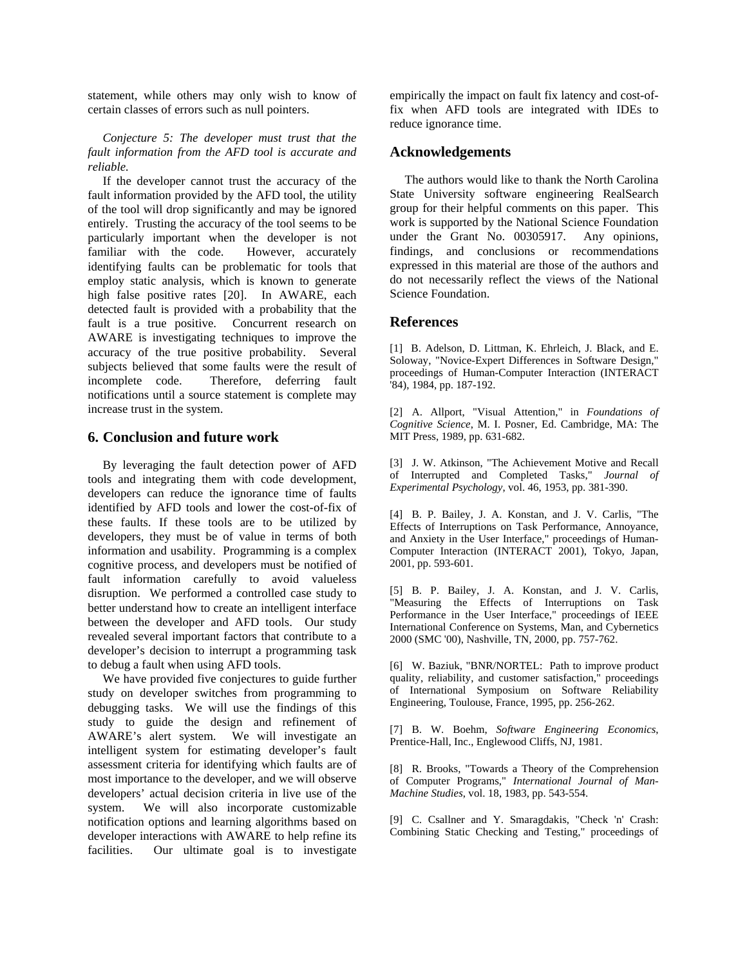statement, while others may only wish to know of certain classes of errors such as null pointers.

### *Conjecture 5: The developer must trust that the fault information from the AFD tool is accurate and reliable.*

If the developer cannot trust the accuracy of the fault information provided by the AFD tool, the utility of the tool will drop significantly and may be ignored entirely. Trusting the accuracy of the tool seems to be particularly important when the developer is not familiar with the code. However, accurately identifying faults can be problematic for tools that employ static analysis, which is known to generate high false positive rates [20]. In AWARE, each detected fault is provided with a probability that the fault is a true positive. Concurrent research on AWARE is investigating techniques to improve the accuracy of the true positive probability. Several subjects believed that some faults were the result of incomplete code. Therefore, deferring fault notifications until a source statement is complete may increase trust in the system.

### **6. Conclusion and future work**

By leveraging the fault detection power of AFD tools and integrating them with code development, developers can reduce the ignorance time of faults identified by AFD tools and lower the cost-of-fix of these faults. If these tools are to be utilized by developers, they must be of value in terms of both information and usability. Programming is a complex cognitive process, and developers must be notified of fault information carefully to avoid valueless disruption. We performed a controlled case study to better understand how to create an intelligent interface between the developer and AFD tools. Our study revealed several important factors that contribute to a developer's decision to interrupt a programming task to debug a fault when using AFD tools.

We have provided five conjectures to guide further study on developer switches from programming to debugging tasks. We will use the findings of this study to guide the design and refinement of AWARE's alert system. We will investigate an intelligent system for estimating developer's fault assessment criteria for identifying which faults are of most importance to the developer, and we will observe developers' actual decision criteria in live use of the system. We will also incorporate customizable notification options and learning algorithms based on developer interactions with AWARE to help refine its facilities. Our ultimate goal is to investigate

empirically the impact on fault fix latency and cost-offix when AFD tools are integrated with IDEs to reduce ignorance time.

### **Acknowledgements**

The authors would like to thank the North Carolina State University software engineering RealSearch group for their helpful comments on this paper. This work is supported by the National Science Foundation under the Grant No. 00305917. Any opinions, findings, and conclusions or recommendations expressed in this material are those of the authors and do not necessarily reflect the views of the National Science Foundation.

#### **References**

[1] B. Adelson, D. Littman, K. Ehrleich, J. Black, and E. Soloway, "Novice-Expert Differences in Software Design," proceedings of Human-Computer Interaction (INTERACT '84), 1984, pp. 187-192.

[2] A. Allport, "Visual Attention," in *Foundations of Cognitive Science*, M. I. Posner, Ed. Cambridge, MA: The MIT Press, 1989, pp. 631-682.

[3] J. W. Atkinson, "The Achievement Motive and Recall of Interrupted and Completed Tasks," *Journal of Experimental Psychology*, vol. 46, 1953, pp. 381-390.

[4] B. P. Bailey, J. A. Konstan, and J. V. Carlis, "The Effects of Interruptions on Task Performance, Annoyance, and Anxiety in the User Interface," proceedings of Human-Computer Interaction (INTERACT 2001), Tokyo, Japan, 2001, pp. 593-601.

[5] B. P. Bailey, J. A. Konstan, and J. V. Carlis, "Measuring the Effects of Interruptions on Task Performance in the User Interface," proceedings of IEEE International Conference on Systems, Man, and Cybernetics 2000 (SMC '00), Nashville, TN, 2000, pp. 757-762.

[6] W. Baziuk, "BNR/NORTEL: Path to improve product quality, reliability, and customer satisfaction," proceedings of International Symposium on Software Reliability Engineering, Toulouse, France, 1995, pp. 256-262.

[7] B. W. Boehm, *Software Engineering Economics*, Prentice-Hall, Inc., Englewood Cliffs, NJ, 1981.

[8] R. Brooks, "Towards a Theory of the Comprehension of Computer Programs," *International Journal of Man-Machine Studies*, vol. 18, 1983, pp. 543-554.

[9] C. Csallner and Y. Smaragdakis, "Check 'n' Crash: Combining Static Checking and Testing," proceedings of